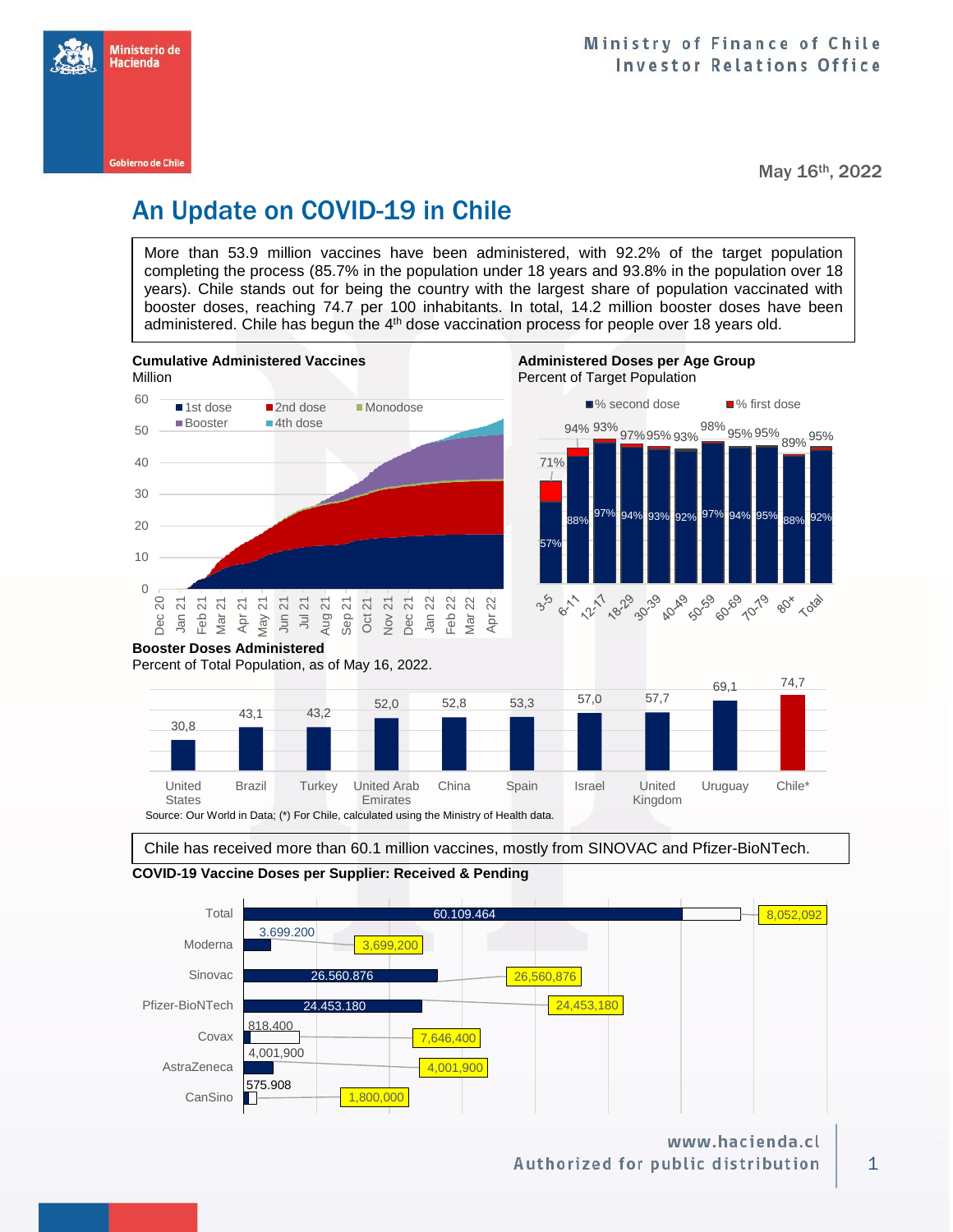

May 16th, 2022

# An Update on COVID-19 in Chile

More than 53.9 million vaccines have been administered, with 92.2% of the target population completing the process (85.7% in the population under 18 years and 93.8% in the population over 18 years). Chile stands out for being the country with the largest share of population vaccinated with booster doses, reaching 74.7 per 100 inhabitants. In total, 14.2 million booster doses have been administered. Chile has begun the 4<sup>th</sup> dose vaccination process for people over 18 years old.





Chile has received more than 60.1 million vaccines, mostly from SINOVAC and Pfizer-BioNTech.



### **COVID-19 Vaccine Doses per Supplier: Received & Pending**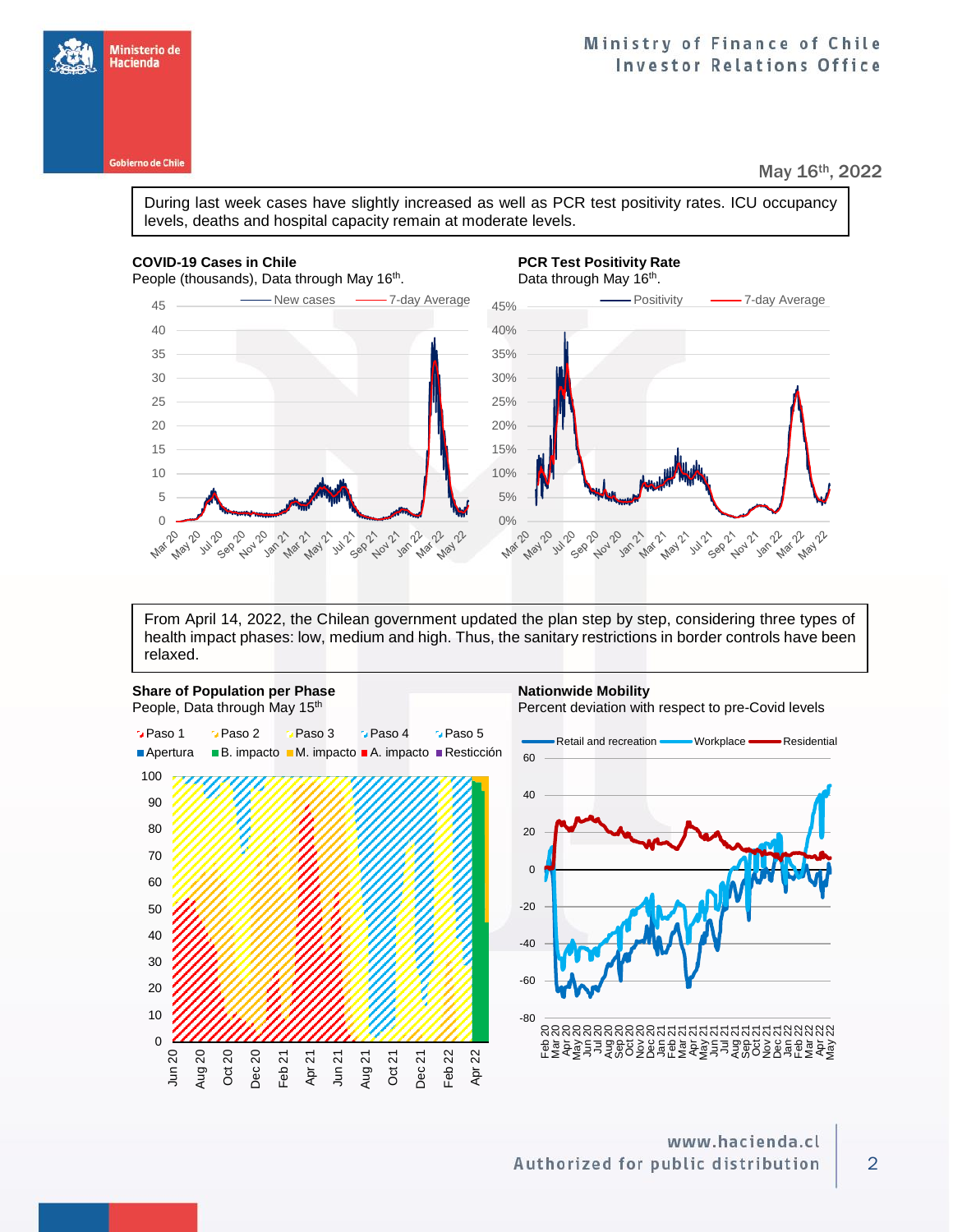

Ministerio de Hacienda

#### May 16th, 2022

During last week cases have slightly increased as well as PCR test positivity rates. ICU occupancy levels, deaths and hospital capacity remain at moderate levels.

### **COVID-19 Cases in Chile PCR Test Positivity Rate PCR Test Positivity Rate**

People (thousands), Data through May  $16<sup>th</sup>$ .



From April 14, 2022, the Chilean government updated the plan step by step, considering three types of health impact phases: low, medium and high. Thus, the sanitary restrictions in border controls have been relaxed.

![](_page_1_Figure_8.jpeg)